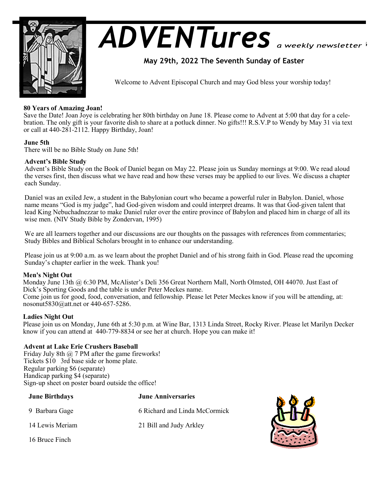

# *ADVENTures*

# **May 29th, 2022 The Seventh Sunday of Easter**

Welcome to Advent Episcopal Church and may God bless your worship today!

# **80 Years of Amazing Joan!**

Save the Date! Joan Joye is celebrating her 80th birthday on June 18. Please come to Advent at 5:00 that day for a celebration. The only gift is your favorite dish to share at a potluck dinner. No gifts!!! R.S.V.P to Wendy by May 31 via text or call at 440-281-2112. Happy Birthday, Joan!

# **June 5th**

There will be no Bible Study on June 5th!

# **Advent's Bible Study**

Advent's Bible Study on the Book of Daniel began on May 22. Please join us Sunday mornings at 9:00. We read aloud the verses first, then discuss what we have read and how these verses may be applied to our lives. We discuss a chapter each Sunday.

Daniel was an exiled Jew, a student in the Babylonian court who became a powerful ruler in Babylon. Daniel, whose name means "God is my judge", had God-given wisdom and could interpret dreams. It was that God-given talent that lead King Nebuchadnezzar to make Daniel ruler over the entire province of Babylon and placed him in charge of all its wise men. (NIV Study Bible by Zondervan, 1995)

We are all learners together and our discussions are our thoughts on the passages with references from commentaries; Study Bibles and Biblical Scholars brought in to enhance our understanding.

Please join us at 9:00 a.m. as we learn about the prophet Daniel and of his strong faith in God. Please read the upcoming Sunday's chapter earlier in the week. Thank you!

# **Men's Night Out**

Monday June 13th @ 6:30 PM, McAlister's Deli 356 Great Northern Mall, North Olmsted, OH 44070. Just East of Dick's Sporting Goods and the table is under Peter Meckes name. Come join us for good, food, conversation, and fellowship. Please let Peter Meckes know if you will be attending, at:

nosonut5830@att.net or 440-657-5286.

# **Ladies Night Out**

Please join us on Monday, June 6th at 5:30 p.m. at Wine Bar, 1313 Linda Street, Rocky River. Please let Marilyn Decker know if you can attend at 440-779-8834 or see her at church. Hope you can make it!

# **Advent at Lake Erie Crushers Baseball**

Friday July 8th  $\omega$  7 PM after the game fireworks! Tickets \$10 3rd base side or home plate. Regular parking \$6 (separate) Handicap parking \$4 (separate) Sign-up sheet on poster board outside the office!

| <b>June Birthdays</b> | <b>June Anniversaries</b>     |  |
|-----------------------|-------------------------------|--|
| 9 Barbara Gage        | 6 Richard and Linda McCormick |  |
| 14 Lewis Meriam       | 21 Bill and Judy Arkley       |  |
| 16 Bruce Finch        |                               |  |